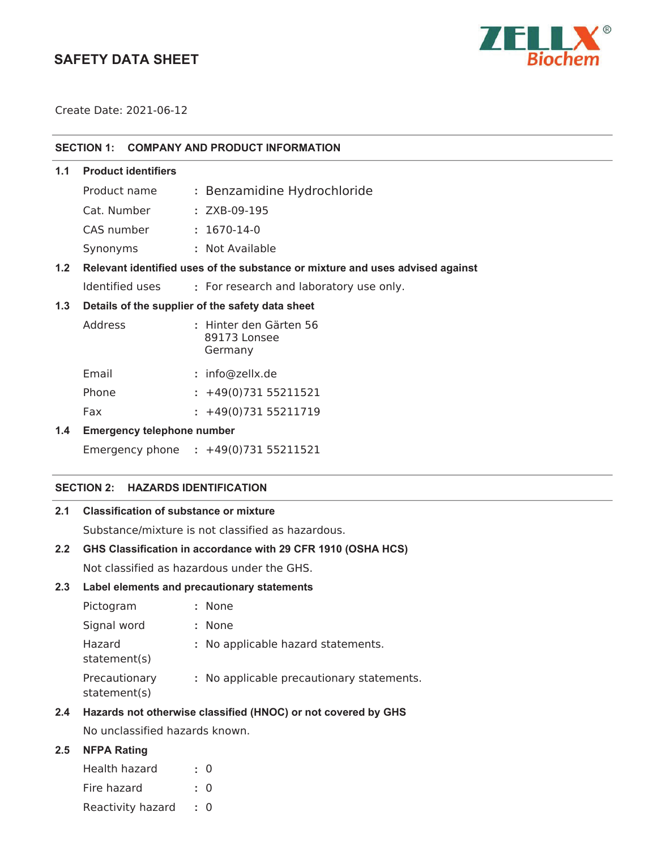# **SAFETY DATA SHEET**



Create Date: 2021-06-12

#### **SECTION 1: COMPANY AND PRODUCT INFORMATION**

#### **1.1 Product identifiers**

| Product name | : Benzamidine Hydrochloride |
|--------------|-----------------------------|
| Cat. Number  | : ZXB-09-195                |
| CAS number   | $: 1670 - 14 - 0$           |
| Synonyms     | : Not Available             |

# **1.2 Relevant identified uses of the substance or mixture and uses advised against**

Identified uses **:** For research and laboratory use only.

#### **1.3 Details of the supplier of the safety data sheet**

| Address | : Hinter den Gärten 56<br>89173 Lonsee<br>Germany |
|---------|---------------------------------------------------|
| Email   | : info@zellx.de                                   |
| Phone   | $: +49(0)73155211521$                             |

Fax : +49(0)731 55211719

#### **1.4 Emergency telephone number**

Emergency phone **:** 

### **SECTION 2: HAZARDS IDENTIFICATION**

# **2.1 Classification of substance or mixture**

Substance/mixture is not classified as hazardous.

### **2.2 GHS Classification in accordance with 29 CFR 1910 (OSHA HCS)**

Not classified as hazardous under the GHS.

#### **2.3 Label elements and precautionary statements**

| Pictogram                     | : None                                    |
|-------------------------------|-------------------------------------------|
| Signal word                   | : None                                    |
| Hazard<br>statement(s)        | : No applicable hazard statements.        |
| Precautionary<br>statement(s) | : No applicable precautionary statements. |

### **2.4 Hazards not otherwise classified (HNOC) or not covered by GHS**

No unclassified hazards known.

# **2.5 NFPA Rating**

| Health hazard     | $\cdot$ 0 |  |
|-------------------|-----------|--|
| Fire hazard       | $\cdot$ 0 |  |
| Reactivity hazard | $\cdot$ 0 |  |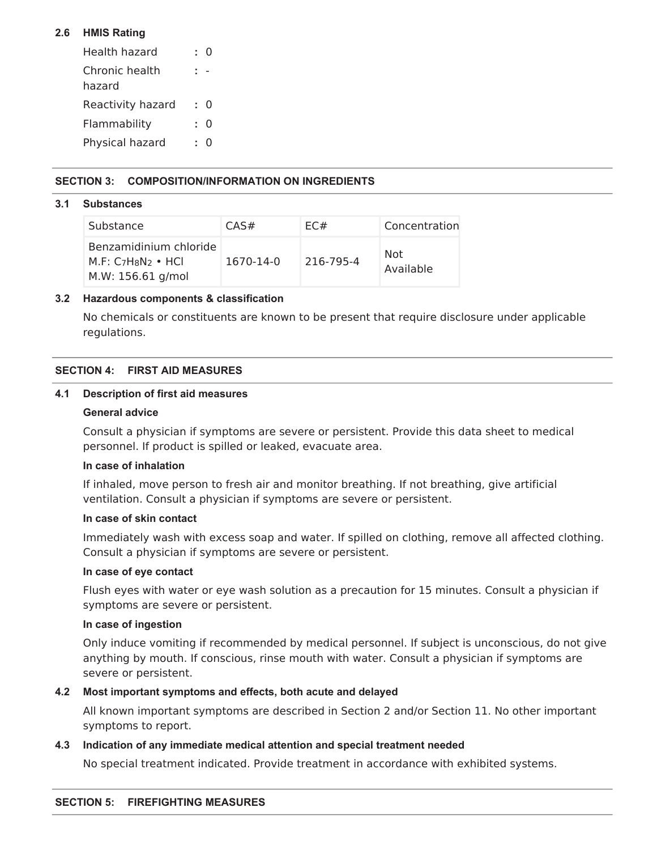# **2.6 HMIS Rating**

| Health hazard            | 0        |
|--------------------------|----------|
| Chronic health<br>hazard |          |
| Reactivity hazard        | O        |
| Flammability             | O        |
| Physical hazard          | $^{(1)}$ |

# **SECTION 3: COMPOSITION/INFORMATION ON INGREDIENTS**

### **3.1 Substances**

| Substance                                                          | CAS#      | EC#       | Concentration    |
|--------------------------------------------------------------------|-----------|-----------|------------------|
| Benzamidinium chloride<br>$M.F: C7H8N2$ • HCI<br>M.W: 156.61 g/mol | 1670-14-0 | 216-795-4 | Not<br>Available |

### **3.2 Hazardous components & classification**

No chemicals or constituents are known to be present that require disclosure under applicable regulations.

# **SECTION 4: FIRST AID MEASURES**

#### **4.1 Description of first aid measures**

#### **General advice**

Consult a physician if symptoms are severe or persistent. Provide this data sheet to medical personnel. If product is spilled or leaked, evacuate area.

## **In case of inhalation**

If inhaled, move person to fresh air and monitor breathing. If not breathing, give artificial ventilation. Consult a physician if symptoms are severe or persistent.

#### **In case of skin contact**

Immediately wash with excess soap and water. If spilled on clothing, remove all affected clothing. Consult a physician if symptoms are severe or persistent.

### **In case of eye contact**

Flush eyes with water or eye wash solution as a precaution for 15 minutes. Consult a physician if symptoms are severe or persistent.

### **In case of ingestion**

Only induce vomiting if recommended by medical personnel. If subject is unconscious, do not give anything by mouth. If conscious, rinse mouth with water. Consult a physician if symptoms are severe or persistent.

### **4.2 Most important symptoms and effects, both acute and delayed**

All known important symptoms are described in Section 2 and/or Section 11. No other important symptoms to report.

### **4.3 Indication of any immediate medical attention and special treatment needed**

No special treatment indicated. Provide treatment in accordance with exhibited systems.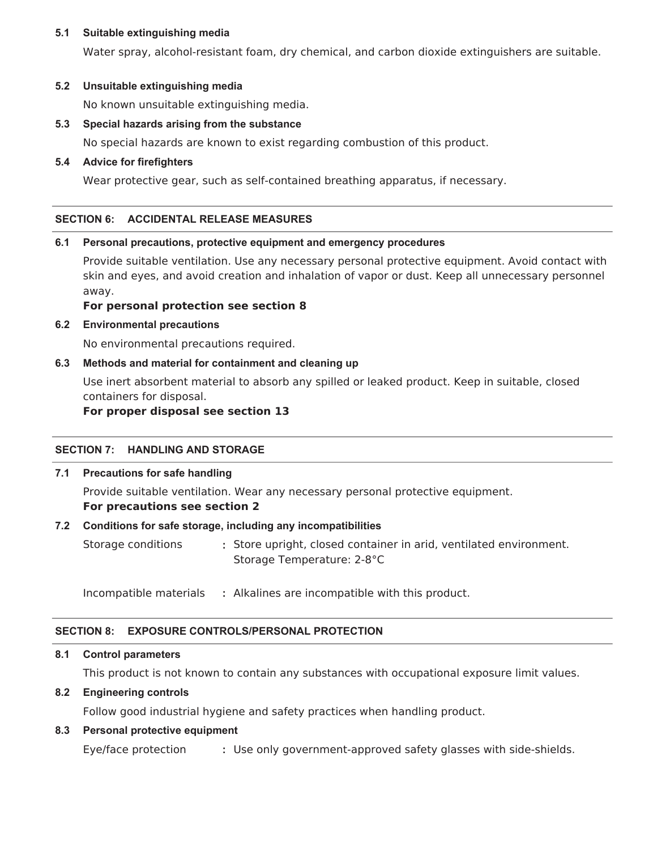#### **5.1 Suitable extinguishing media**

Water spray, alcohol-resistant foam, dry chemical, and carbon dioxide extinguishers are suitable.

### **5.2 Unsuitable extinguishing media**

No known unsuitable extinguishing media.

### **5.3 Special hazards arising from the substance**

No special hazards are known to exist regarding combustion of this product.

### **5.4 Advice for firefighters**

Wear protective gear, such as self-contained breathing apparatus, if necessary.

#### **SECTION 6: ACCIDENTAL RELEASE MEASURES**

#### **6.1 Personal precautions, protective equipment and emergency procedures**

Provide suitable ventilation. Use any necessary personal protective equipment. Avoid contact with skin and eyes, and avoid creation and inhalation of vapor or dust. Keep all unnecessary personnel away.

#### **For personal protection see section 8**

#### **6.2 Environmental precautions**

No environmental precautions required.

### **6.3 Methods and material for containment and cleaning up**

Use inert absorbent material to absorb any spilled or leaked product. Keep in suitable, closed containers for disposal.

#### **For proper disposal see section 13**

### **SECTION 7: HANDLING AND STORAGE**

### **7.1 Precautions for safe handling**

Provide suitable ventilation. Wear any necessary personal protective equipment. **For precautions see section 2**

#### **7.2 Conditions for safe storage, including any incompatibilities**

Storage conditions **:** Store upright, closed container in arid, ventilated environment. Storage Temperature: 2-8°C

Incompatible materials **:** Alkalines are incompatible with this product.

### **SECTION 8: EXPOSURE CONTROLS/PERSONAL PROTECTION**

#### **8.1 Control parameters**

This product is not known to contain any substances with occupational exposure limit values.

### **8.2 Engineering controls**

Follow good industrial hygiene and safety practices when handling product.

### **8.3 Personal protective equipment**

Eye/face protection **:** Use only government-approved safety glasses with side-shields.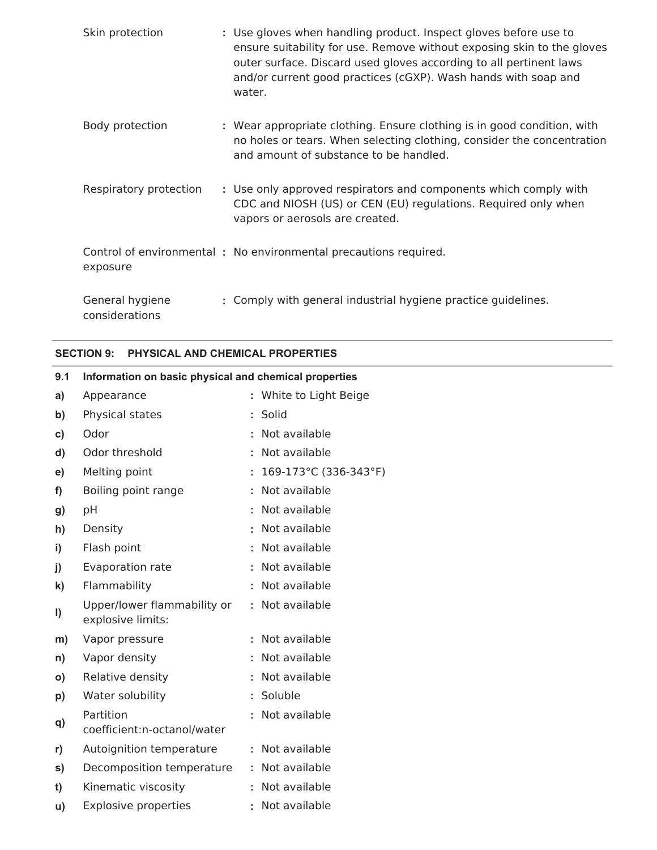| Skin protection                   | : Use gloves when handling product. Inspect gloves before use to<br>ensure suitability for use. Remove without exposing skin to the gloves<br>outer surface. Discard used gloves according to all pertinent laws<br>and/or current good practices (cGXP). Wash hands with soap and<br>water. |
|-----------------------------------|----------------------------------------------------------------------------------------------------------------------------------------------------------------------------------------------------------------------------------------------------------------------------------------------|
| Body protection                   | : Wear appropriate clothing. Ensure clothing is in good condition, with<br>no holes or tears. When selecting clothing, consider the concentration<br>and amount of substance to be handled.                                                                                                  |
| Respiratory protection            | : Use only approved respirators and components which comply with<br>CDC and NIOSH (US) or CEN (EU) regulations. Required only when<br>vapors or aerosols are created.                                                                                                                        |
| exposure                          | Control of environmental: No environmental precautions required.                                                                                                                                                                                                                             |
| General hygiene<br>considerations | : Comply with general industrial hygiene practice guidelines.                                                                                                                                                                                                                                |

# **SECTION 9: PHYSICAL AND CHEMICAL PROPERTIES**

| 9.1          | Information on basic physical and chemical properties |                                   |
|--------------|-------------------------------------------------------|-----------------------------------|
| a)           | Appearance                                            | : White to Light Beige            |
| b)           | Physical states                                       | : Solid                           |
| C)           | Odor                                                  | : Not available                   |
| d)           | Odor threshold                                        | : Not available                   |
| e)           | Melting point                                         | : $169-173^{\circ}$ C (336-343°F) |
| f)           | Boiling point range                                   | : Not available                   |
| g)           | pH                                                    | : Not available                   |
| h)           | Density                                               | : Not available                   |
| i)           | Flash point                                           | : Not available                   |
| j)           | Evaporation rate                                      | : Not available                   |
| k)           | Flammability                                          | : Not available                   |
| $\vert$      | Upper/lower flammability or<br>explosive limits:      | : Not available                   |
| m)           | Vapor pressure                                        | : Not available                   |
| n)           | Vapor density                                         | : Not available                   |
| $\mathsf{o}$ | Relative density                                      | : Not available                   |
| p)           | Water solubility                                      | : Soluble                         |
| q)           | Partition<br>coefficient:n-octanol/water              | : Not available                   |
| r)           | Autoignition temperature                              | : Not available                   |
| s)           | Decomposition temperature                             | : Not available                   |
| t)           | Kinematic viscosity                                   | : Not available                   |
| u)           | <b>Explosive properties</b>                           | : Not available                   |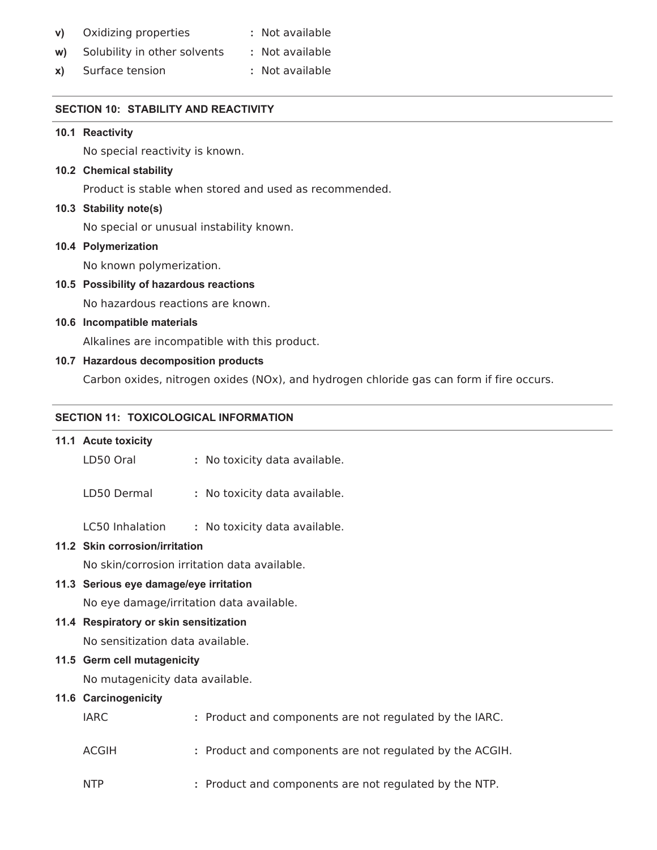| V) | Oxidizing properties | : Not available |
|----|----------------------|-----------------|
|----|----------------------|-----------------|

- **w)** Solubility in other solvents **:** Not available
- **x)** Surface tension **:** Not available

## **SECTION 10: STABILITY AND REACTIVITY**

# **10.1 Reactivity**

No special reactivity is known.

### **10.2 Chemical stability**

Product is stable when stored and used as recommended.

### **10.3 Stability note(s)**

No special or unusual instability known.

### **10.4 Polymerization**

No known polymerization.

# **10.5 Possibility of hazardous reactions**

No hazardous reactions are known.

# **10.6 Incompatible materials**

Alkalines are incompatible with this product.

# **10.7 Hazardous decomposition products**

Carbon oxides, nitrogen oxides (NOx), and hydrogen chloride gas can form if fire occurs.

### **SECTION 11: TOXICOLOGICAL INFORMATION**

## **11.1 Acute toxicity**

| LD50 Oral                              | : No toxicity data available.                            |  |  |  |  |
|----------------------------------------|----------------------------------------------------------|--|--|--|--|
| LD50 Dermal                            | : No toxicity data available.                            |  |  |  |  |
| LC50 Inhalation                        | : No toxicity data available.                            |  |  |  |  |
| 11.2 Skin corrosion/irritation         |                                                          |  |  |  |  |
|                                        | No skin/corrosion irritation data available.             |  |  |  |  |
| 11.3 Serious eye damage/eye irritation |                                                          |  |  |  |  |
|                                        | No eye damage/irritation data available.                 |  |  |  |  |
| 11.4 Respiratory or skin sensitization |                                                          |  |  |  |  |
| No sensitization data available.       |                                                          |  |  |  |  |
| 11.5 Germ cell mutagenicity            |                                                          |  |  |  |  |
| No mutagenicity data available.        |                                                          |  |  |  |  |
| 11.6 Carcinogenicity                   |                                                          |  |  |  |  |
| <b>IARC</b>                            | : Product and components are not regulated by the IARC.  |  |  |  |  |
| <b>ACGIH</b>                           | : Product and components are not regulated by the ACGIH. |  |  |  |  |
| <b>NTP</b>                             | : Product and components are not regulated by the NTP.   |  |  |  |  |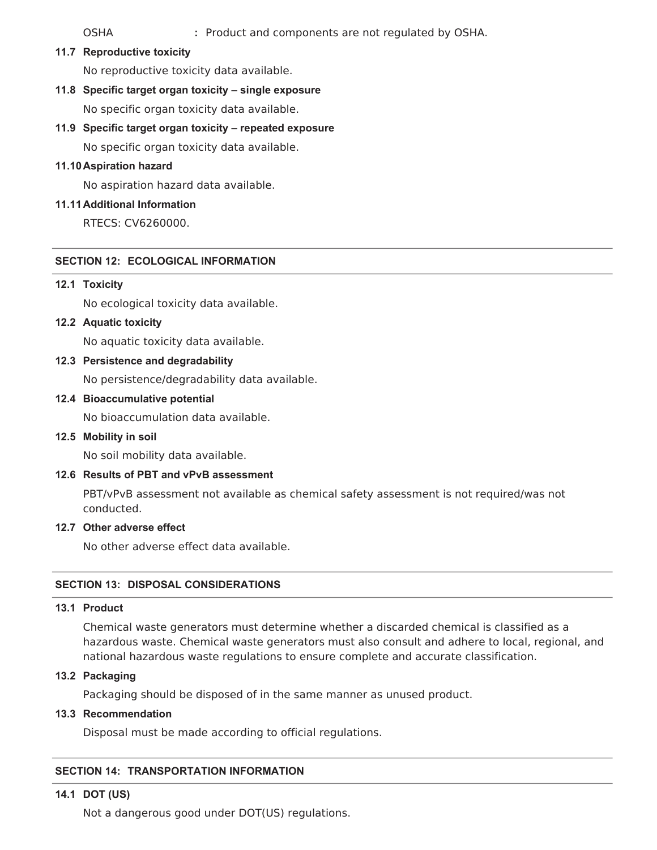OSHA **:** Product and components are not regulated by OSHA.

**11.7 Reproductive toxicity**

No reproductive toxicity data available.

**11.8 Specific target organ toxicity – single exposure**

No specific organ toxicity data available.

**11.9 Specific target organ toxicity – repeated exposure**

No specific organ toxicity data available.

### **11.10Aspiration hazard**

No aspiration hazard data available.

### **11.11Additional Information**

RTECS: CV6260000.

#### **SECTION 12: ECOLOGICAL INFORMATION**

### **12.1 Toxicity**

No ecological toxicity data available.

**12.2 Aquatic toxicity**

No aquatic toxicity data available.

**12.3 Persistence and degradability**

No persistence/degradability data available.

**12.4 Bioaccumulative potential**

No bioaccumulation data available.

**12.5 Mobility in soil**

No soil mobility data available.

#### **12.6 Results of PBT and vPvB assessment**

PBT/vPvB assessment not available as chemical safety assessment is not required/was not conducted.

#### **12.7 Other adverse effect**

No other adverse effect data available.

### **SECTION 13: DISPOSAL CONSIDERATIONS**

### **13.1 Product**

Chemical waste generators must determine whether a discarded chemical is classified as a hazardous waste. Chemical waste generators must also consult and adhere to local, regional, and national hazardous waste regulations to ensure complete and accurate classification.

#### **13.2 Packaging**

Packaging should be disposed of in the same manner as unused product.

### **13.3 Recommendation**

Disposal must be made according to official regulations.

# **SECTION 14: TRANSPORTATION INFORMATION**

### **14.1 DOT (US)**

Not a dangerous good under DOT(US) regulations.